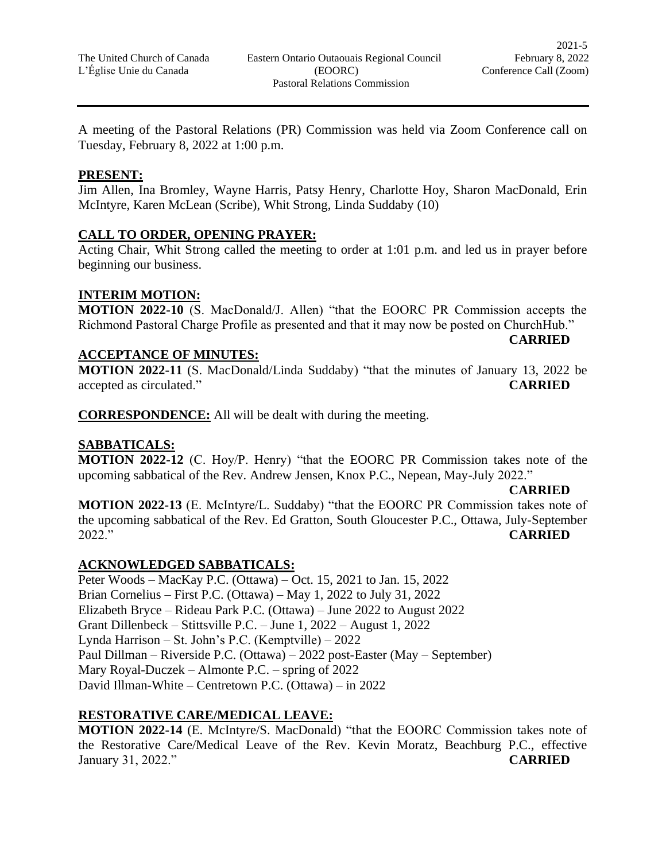A meeting of the Pastoral Relations (PR) Commission was held via Zoom Conference call on Tuesday, February 8, 2022 at 1:00 p.m.

### **PRESENT:**

Jim Allen, Ina Bromley, Wayne Harris, Patsy Henry, Charlotte Hoy, Sharon MacDonald, Erin McIntyre, Karen McLean (Scribe), Whit Strong, Linda Suddaby (10)

## **CALL TO ORDER, OPENING PRAYER:**

Acting Chair, Whit Strong called the meeting to order at 1:01 p.m. and led us in prayer before beginning our business.

### **INTERIM MOTION:**

**MOTION 2022-10** (S. MacDonald/J. Allen) "that the EOORC PR Commission accepts the Richmond Pastoral Charge Profile as presented and that it may now be posted on ChurchHub."

## **ACCEPTANCE OF MINUTES:**

**MOTION 2022-11** (S. MacDonald/Linda Suddaby) "that the minutes of January 13, 2022 be accepted as circulated." **CARRIED**

**CORRESPONDENCE:** All will be dealt with during the meeting.

## **SABBATICALS:**

**MOTION 2022-12** (C. Hoy/P. Henry) "that the EOORC PR Commission takes note of the upcoming sabbatical of the Rev. Andrew Jensen, Knox P.C., Nepean, May-July 2022."

## **CARRIED**

**CARRIED**

**MOTION 2022-13** (E. McIntyre/L. Suddaby) "that the EOORC PR Commission takes note of the upcoming sabbatical of the Rev. Ed Gratton, South Gloucester P.C., Ottawa, July-September 2022." **CARRIED**

## **ACKNOWLEDGED SABBATICALS:**

Peter Woods – MacKay P.C. (Ottawa) – Oct. 15, 2021 to Jan. 15, 2022 Brian Cornelius – First P.C. (Ottawa) – May 1, 2022 to July 31, 2022 Elizabeth Bryce – Rideau Park P.C. (Ottawa) – June 2022 to August 2022 Grant Dillenbeck – Stittsville P.C. – June 1, 2022 – August 1, 2022 Lynda Harrison – St. John's P.C. (Kemptville) – 2022 Paul Dillman – Riverside P.C. (Ottawa) – 2022 post-Easter (May – September) Mary Royal-Duczek – Almonte P.C. – spring of 2022 David Illman-White – Centretown P.C. (Ottawa) – in 2022

## **RESTORATIVE CARE/MEDICAL LEAVE:**

**MOTION 2022-14** (E. McIntyre/S. MacDonald) "that the EOORC Commission takes note of the Restorative Care/Medical Leave of the Rev. Kevin Moratz, Beachburg P.C., effective January 31, 2022." **CARRIED**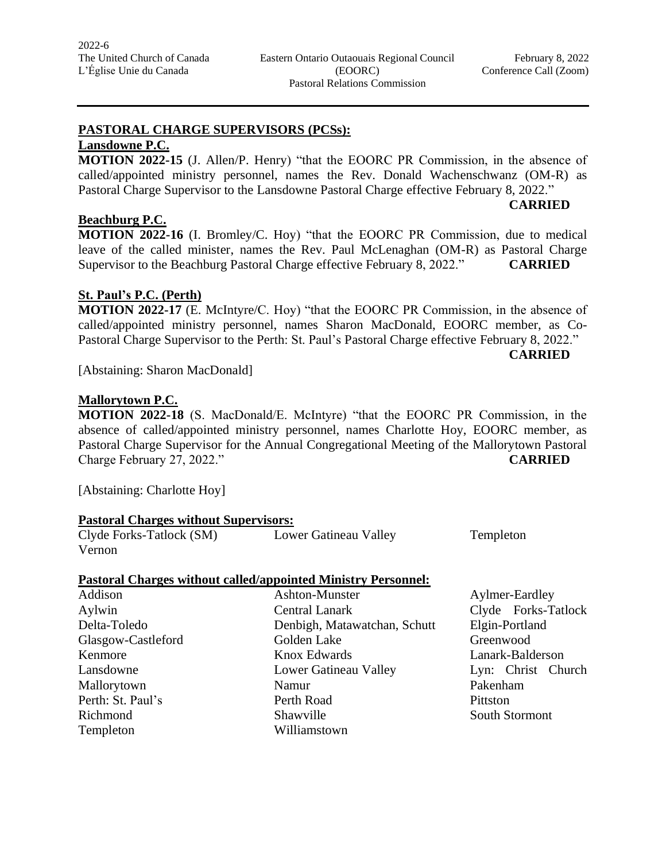**CARRIED**

# **PASTORAL CHARGE SUPERVISORS (PCSs):**

# **Lansdowne P.C.**

**MOTION 2022-15** (J. Allen/P. Henry) "that the EOORC PR Commission, in the absence of called/appointed ministry personnel, names the Rev. Donald Wachenschwanz (OM-R) as Pastoral Charge Supervisor to the Lansdowne Pastoral Charge effective February 8, 2022."

### **Beachburg P.C.**

**MOTION 2022-16** (I. Bromley/C. Hoy) "that the EOORC PR Commission, due to medical leave of the called minister, names the Rev. Paul McLenaghan (OM-R) as Pastoral Charge Supervisor to the Beachburg Pastoral Charge effective February 8, 2022." **CARRIED**

### **St. Paul's P.C. (Perth)**

**MOTION 2022-17** (E. McIntyre/C. Hoy) "that the EOORC PR Commission, in the absence of called/appointed ministry personnel, names Sharon MacDonald, EOORC member, as Co-Pastoral Charge Supervisor to the Perth: St. Paul's Pastoral Charge effective February 8, 2022."

**CARRIED**

[Abstaining: Sharon MacDonald]

### **Mallorytown P.C.**

**MOTION 2022-18** (S. MacDonald/E. McIntyre) "that the EOORC PR Commission, in the absence of called/appointed ministry personnel, names Charlotte Hoy, EOORC member, as Pastoral Charge Supervisor for the Annual Congregational Meeting of the Mallorytown Pastoral Charge February 27, 2022." **CARRIED**

[Abstaining: Charlotte Hoy]

### **Pastoral Charges without Supervisors:**

Clyde Forks-Tatlock (SM) Lower Gatineau Valley Templeton Vernon

### **Pastoral Charges without called/appointed Ministry Personnel:**

| Addison            | Ashton-Munster               | Aylmer-Ea  |
|--------------------|------------------------------|------------|
| Aylwin             | <b>Central Lanark</b>        | Clyde Fo   |
| Delta-Toledo       | Denbigh, Matawatchan, Schutt | Elgin-Port |
| Glasgow-Castleford | Golden Lake                  | Greenwoo   |
| Kenmore            | Knox Edwards                 | Lanark-Ba  |
| Lansdowne          | Lower Gatineau Valley        | $Lyn:$ Chr |
| Mallorytown        | Namur                        | Pakenham   |
| Perth: St. Paul's  | Perth Road                   | Pittston   |
| Richmond           | Shawville                    | South Stor |
| Templeton          | Williamstown                 |            |
|                    |                              |            |

Aylmer-Eardley Clyde Forks-Tatlock Elgin-Portland Greenwood Lanark-Balderson Lyn: Christ Church South Stormont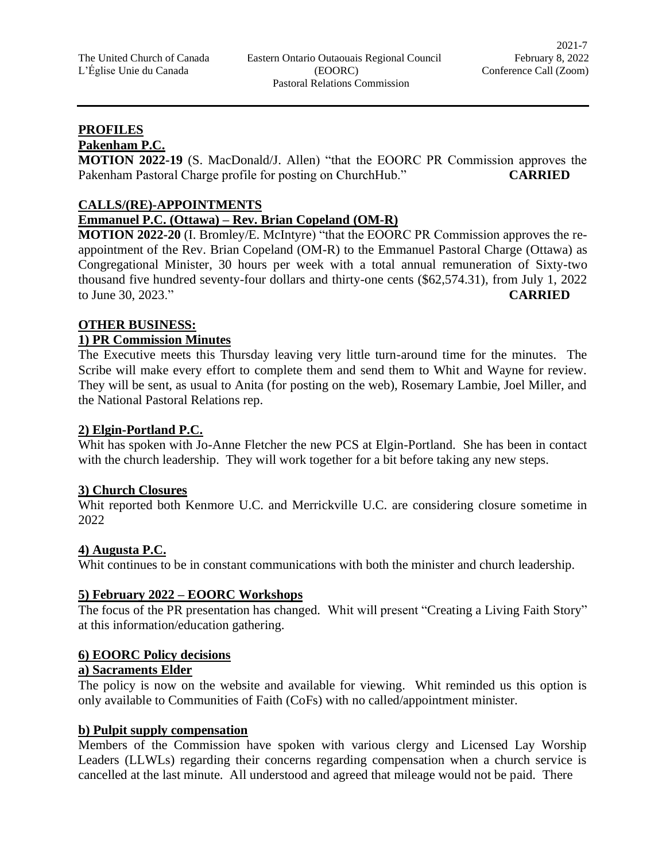## **PROFILES**

**Pakenham P.C.**

**MOTION 2022-19** (S. MacDonald/J. Allen) "that the EOORC PR Commission approves the Pakenham Pastoral Charge profile for posting on ChurchHub." **CARRIED**

## **CALLS/(RE)-APPOINTMENTS**

# **Emmanuel P.C. (Ottawa) – Rev. Brian Copeland (OM-R)**

**MOTION 2022-20** (I. Bromley/E. McIntyre) "that the EOORC PR Commission approves the reappointment of the Rev. Brian Copeland (OM-R) to the Emmanuel Pastoral Charge (Ottawa) as Congregational Minister, 30 hours per week with a total annual remuneration of Sixty-two thousand five hundred seventy-four dollars and thirty-one cents (\$62,574.31), from July 1, 2022 to June 30, 2023." **CARRIED**

# **OTHER BUSINESS:**

## **1) PR Commission Minutes**

The Executive meets this Thursday leaving very little turn-around time for the minutes. The Scribe will make every effort to complete them and send them to Whit and Wayne for review. They will be sent, as usual to Anita (for posting on the web), Rosemary Lambie, Joel Miller, and the National Pastoral Relations rep.

## **2) Elgin-Portland P.C.**

Whit has spoken with Jo-Anne Fletcher the new PCS at Elgin-Portland. She has been in contact with the church leadership. They will work together for a bit before taking any new steps.

## **3) Church Closures**

Whit reported both Kenmore U.C. and Merrickville U.C. are considering closure sometime in 2022

## **4) Augusta P.C.**

Whit continues to be in constant communications with both the minister and church leadership.

## **5) February 2022 – EOORC Workshops**

The focus of the PR presentation has changed. Whit will present "Creating a Living Faith Story" at this information/education gathering.

### **6) EOORC Policy decisions**

### **a) Sacraments Elder**

The policy is now on the website and available for viewing. Whit reminded us this option is only available to Communities of Faith (CoFs) with no called/appointment minister.

### **b) Pulpit supply compensation**

Members of the Commission have spoken with various clergy and Licensed Lay Worship Leaders (LLWLs) regarding their concerns regarding compensation when a church service is cancelled at the last minute. All understood and agreed that mileage would not be paid. There